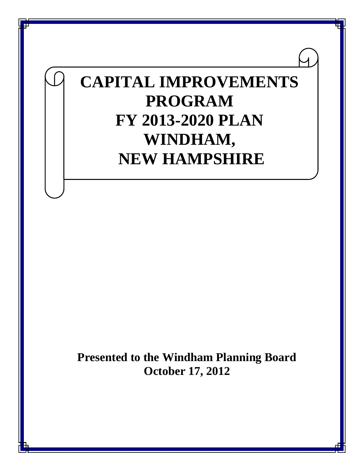# **CAPITAL IMPROVEMENTS PROGRAM FY 2013-2020 PLAN WINDHAM, NEW HAMPSHIRE**

**Presented to the Windham Planning Board October 17, 2012**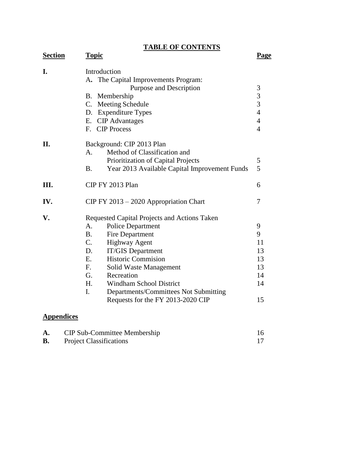**TABLE OF CONTENTS**

| <b>Section</b> | <b>Topic</b>                                                                                                                                                                                                                                                                                                                                                                                                                                  | Page                                                                     |
|----------------|-----------------------------------------------------------------------------------------------------------------------------------------------------------------------------------------------------------------------------------------------------------------------------------------------------------------------------------------------------------------------------------------------------------------------------------------------|--------------------------------------------------------------------------|
| I.             | Introduction<br>A. The Capital Improvements Program:<br>Purpose and Description<br>B. Membership<br>C. Meeting Schedule<br>D. Expenditure Types<br>E. CIP Advantages<br>F. CIP Process                                                                                                                                                                                                                                                        | 3<br>$\frac{3}{3}$<br>$\overline{4}$<br>$\overline{4}$<br>$\overline{4}$ |
| II.            | Background: CIP 2013 Plan<br>Method of Classification and<br>A.<br>Prioritization of Capital Projects<br><b>B.</b><br>Year 2013 Available Capital Improvement Funds                                                                                                                                                                                                                                                                           | 5<br>5                                                                   |
| III.           | CIP FY 2013 Plan                                                                                                                                                                                                                                                                                                                                                                                                                              | 6                                                                        |
| IV.            | CIP FY 2013 - 2020 Appropriation Chart                                                                                                                                                                                                                                                                                                                                                                                                        | 7                                                                        |
| V.             | Requested Capital Projects and Actions Taken<br>Police Department<br>А.<br>B <sub>1</sub><br><b>Fire Department</b><br>$C_{\cdot}$<br><b>Highway Agent</b><br>D.<br><b>IT/GIS Department</b><br><b>Historic Commision</b><br>$E_{\cdot}$<br>$F_{\rm c}$<br>Solid Waste Management<br>G.<br>Recreation<br>H.<br><b>Windham School District</b><br>$\mathbf{I}$ .<br>Departments/Committees Not Submitting<br>Requests for the FY 2013-2020 CIP | 9<br>9<br>11<br>13<br>13<br>13<br>14<br>14<br>15                         |

# **Appendices**

| <b>CIP Sub-Committee Membership</b> |  |
|-------------------------------------|--|
| <b>Project Classifications</b>      |  |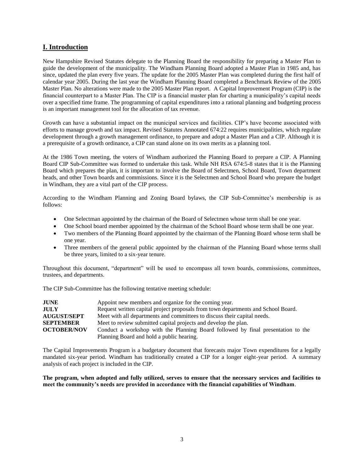# **I. Introduction**

New Hampshire Revised Statutes delegate to the Planning Board the responsibility for preparing a Master Plan to guide the development of the municipality. The Windham Planning Board adopted a Master Plan in 1985 and, has since, updated the plan every five years. The update for the 2005 Master Plan was completed during the first half of calendar year 2005. During the last year the Windham Planning Board completed a Benchmark Review of the 2005 Master Plan. No alterations were made to the 2005 Master Plan report. A Capital Improvement Program (CIP) is the financial counterpart to a Master Plan. The CIP is a financial master plan for charting a municipality's capital needs over a specified time frame. The programming of capital expenditures into a rational planning and budgeting process is an important management tool for the allocation of tax revenue.

Growth can have a substantial impact on the municipal services and facilities. CIP's have become associated with efforts to manage growth and tax impact. Revised Statutes Annotated 674:22 requires municipalities, which regulate development through a growth management ordinance, to prepare and adopt a Master Plan and a CIP. Although it is a prerequisite of a growth ordinance, a CIP can stand alone on its own merits as a planning tool.

At the 1986 Town meeting, the voters of Windham authorized the Planning Board to prepare a CIP. A Planning Board CIP Sub-Committee was formed to undertake this task. While NH RSA 674:5-8 states that it is the Planning Board which prepares the plan, it is important to involve the Board of Selectmen, School Board, Town department heads, and other Town boards and commissions. Since it is the Selectmen and School Board who prepare the budget in Windham, they are a vital part of the CIP process.

According to the Windham Planning and Zoning Board bylaws, the CIP Sub-Committee's membership is as follows:

- One Selectman appointed by the chairman of the Board of Selectmen whose term shall be one year.
- One School board member appointed by the chairman of the School Board whose term shall be one year.
- Two members of the Planning Board appointed by the chairman of the Planning Board whose term shall be one year.
- Three members of the general public appointed by the chairman of the Planning Board whose terms shall be three years, limited to a six-year tenure.

Throughout this document, "department" will be used to encompass all town boards, commissions, committees, trustees, and departments.

The CIP Sub-Committee has the following tentative meeting schedule:

| <b>JUNE</b>        | Appoint new members and organize for the coming year.                             |
|--------------------|-----------------------------------------------------------------------------------|
| <b>JULY</b>        | Request written capital project proposals from town departments and School Board. |
| <b>AUGUST/SEPT</b> | Meet with all departments and committees to discuss their capital needs.          |
| <b>SEPTEMBER</b>   | Meet to review submitted capital projects and develop the plan.                   |
| <b>OCTOBER/NOV</b> | Conduct a workshop with the Planning Board followed by final presentation to the  |
|                    | Planning Board and hold a public hearing.                                         |

The Capital Improvements Program is a budgetary document that forecasts major Town expenditures for a legally mandated six-year period. Windham has traditionally created a CIP for a longer eight-year period. A summary analysis of each project is included in the CIP.

**The program, when adopted and fully utilized, serves to ensure that the necessary services and facilities to meet the community's needs are provided in accordance with the financial capabilities of Windham**.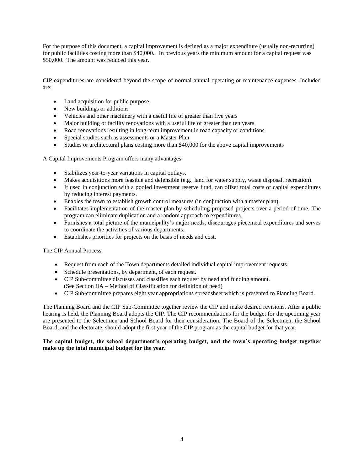For the purpose of this document, a capital improvement is defined as a major expenditure (usually non-recurring) for public facilities costing more than \$40,000. In previous years the minimum amount for a capital request was \$50,000. The amount was reduced this year.

CIP expenditures are considered beyond the scope of normal annual operating or maintenance expenses. Included are:

- Land acquisition for public purpose
- New buildings or additions
- Vehicles and other machinery with a useful life of greater than five years
- Major building or facility renovations with a useful life of greater than ten years
- Road renovations resulting in long-term improvement in road capacity or conditions
- Special studies such as assessments or a Master Plan
- Studies or architectural plans costing more than \$40,000 for the above capital improvements

A Capital Improvements Program offers many advantages:

- Stabilizes year-to-year variations in capital outlays.
- Makes acquisitions more feasible and defensible (e.g., land for water supply, waste disposal, recreation).
- If used in conjunction with a pooled investment reserve fund, can offset total costs of capital expenditures by reducing interest payments.
- Enables the town to establish growth control measures (in conjunction with a master plan).
- Facilitates implementation of the master plan by scheduling proposed projects over a period of time. The program can eliminate duplication and a random approach to expenditures.
- Furnishes a total picture of the municipality's major needs, discourages piecemeal expenditures and serves to coordinate the activities of various departments.
- Establishes priorities for projects on the basis of needs and cost.

The CIP Annual Process:

- Request from each of the Town departments detailed individual capital improvement requests.
- Schedule presentations, by department, of each request.
- CIP Sub-committee discusses and classifies each request by need and funding amount. (See Section IIA – Method of Classification for definition of need)
- CIP Sub-committee prepares eight year appropriations spreadsheet which is presented to Planning Board.

The Planning Board and the CIP Sub-Committee together review the CIP and make desired revisions. After a public hearing is held, the Planning Board adopts the CIP. The CIP recommendations for the budget for the upcoming year are presented to the Selectmen and School Board for their consideration. The Board of the Selectmen, the School Board, and the electorate, should adopt the first year of the CIP program as the capital budget for that year.

#### **The capital budget, the school department's operating budget, and the town's operating budget together make up the total municipal budget for the year.**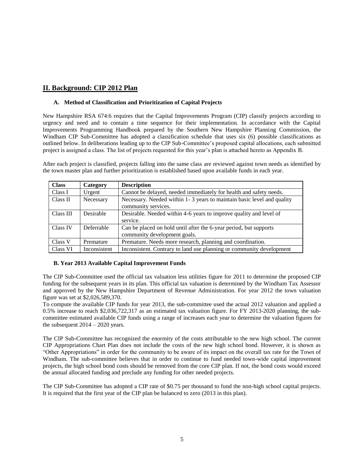# **II. Background: CIP 2012 Plan**

## **A. Method of Classification and Prioritization of Capital Projects**

New Hampshire RSA 674:6 requires that the Capital Improvements Program (CIP) classify projects according to urgency and need and to contain a time sequence for their implementation. In accordance with the Capital Improvements Programming Handbook prepared by the Southern New Hampshire Planning Commission, the Windham CIP Sub-Committee has adopted a classification schedule that uses six (6) possible classifications as outlined below. In deliberations leading up to the CIP Sub-Committee's proposed capital allocations, each submitted project is assigned a class. The list of projects requested for this year's plan is attached hereto as Appendix B.

After each project is classified, projects falling into the same class are reviewed against town needs as identified by the town master plan and further prioritization is established based upon available funds in each year.

| <b>Class</b> | Category     | <b>Description</b>                                                     |
|--------------|--------------|------------------------------------------------------------------------|
| Class I      | Urgent       | Cannot be delayed, needed immediately for health and safety needs.     |
| Class II     | Necessary    | Necessary. Needed within 1-3 years to maintain basic level and quality |
|              |              | community services.                                                    |
| Class III    | Desirable    | Desirable. Needed within 4-6 years to improve quality and level of     |
|              |              | service.                                                               |
| Class IV     | Deferrable   | Can be placed on hold until after the 6-year period, but supports      |
|              |              | community development goals.                                           |
| Class V      | Premature    | Premature. Needs more research, planning and coordination.             |
| Class VI     | Inconsistent | Inconsistent. Contrary to land use planning or community development   |

#### **B. Year 2013 Available Capital Improvement Funds**

The CIP Sub-Committee used the official tax valuation less utilities figure for 2011 to determine the proposed CIP funding for the subsequent years in its plan. This official tax valuation is determined by the Windham Tax Assessor and approved by the New Hampshire Department of Revenue Administration. For year 2012 the town valuation figure was set at \$2,026,589,370.

To compute the available CIP funds for year 2013, the sub-committee used the actual 2012 valuation and applied a 0.5% increase to reach \$2,036,722,317 as an estimated tax valuation figure. For FY 2013-2020 planning, the subcommittee estimated available CIP funds using a range of increases each year to determine the valuation figures for the subsequent  $2014 - 2020$  years.

The CIP Sub-Committee has recognized the enormity of the costs attributable to the new high school. The current CIP Appropriations Chart Plan does not include the costs of the new high school bond. However, it is shown as "Other Appropriations" in order for the community to be aware of its impact on the overall tax rate for the Town of Windham. The sub-committee believes that in order to continue to fund needed town-wide capital improvement projects, the high school bond costs should be removed from the core CIP plan. If not, the bond costs would exceed the annual allocated funding and preclude any funding for other needed projects.

The CIP Sub-Committee has adopted a CIP rate of \$0.75 per thousand to fund the non-high school capital projects. It is required that the first year of the CIP plan be balanced to zero (2013 in this plan).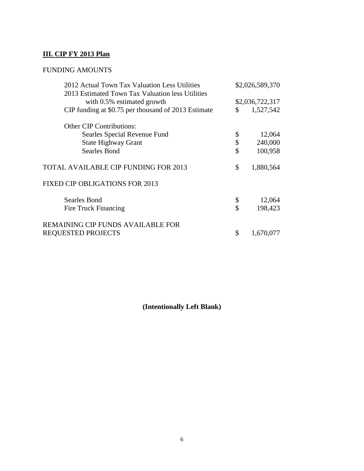# **III. CIP FY 2013 Plan**

# FUNDING AMOUNTS

| 2012 Actual Town Tax Valuation Less Utilities<br>2013 Estimated Town Tax Valuation less Utilities | \$2,026,589,370 |                 |  |
|---------------------------------------------------------------------------------------------------|-----------------|-----------------|--|
| with 0.5% estimated growth                                                                        |                 | \$2,036,722,317 |  |
| CIP funding at \$0.75 per thousand of 2013 Estimate                                               | \$              | 1,527,542       |  |
| <b>Other CIP Contributions:</b>                                                                   |                 |                 |  |
| Searles Special Revenue Fund                                                                      | \$              | 12,064          |  |
| <b>State Highway Grant</b>                                                                        | \$              | 240,000         |  |
| <b>Searles Bond</b>                                                                               | \$              | 100,958         |  |
| <b>TOTAL AVAILABLE CIP FUNDING FOR 2013</b>                                                       | \$              | 1,880,564       |  |
| <b>FIXED CIP OBLIGATIONS FOR 2013</b>                                                             |                 |                 |  |
| <b>Searles Bond</b>                                                                               | \$              | 12,064          |  |
| Fire Truck Financing                                                                              | \$              | 198,423         |  |
| REMAINING CIP FUNDS AVAILABLE FOR                                                                 |                 |                 |  |
| <b>REQUESTED PROJECTS</b>                                                                         | \$              | 1,670,077       |  |

**(Intentionally Left Blank)**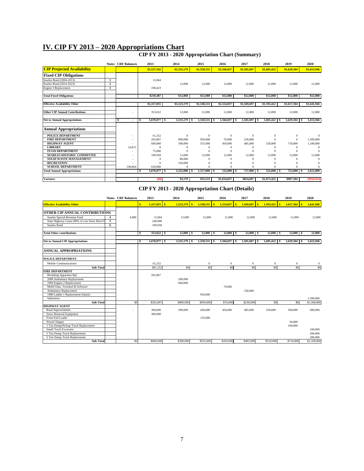# **IV. CIP FY 2013 – 2020 Appropriations Chart**

#### **CIP FY 2013 - 2020 Appropriation Chart (Summary)**

|                                       |                | <b>Notes CRF</b> Balances     | 2013                | 2014         | 2015                | 2016         | 2017         | 2018           | 2019           | 2020        |
|---------------------------------------|----------------|-------------------------------|---------------------|--------------|---------------------|--------------|--------------|----------------|----------------|-------------|
| <b>CIP Projected Availability</b>     |                |                               | \$1,527,542         | \$1,535,179  | \$1,550,531         | \$1,566,037  | \$1,581,697  | \$1,605,422    | \$1,629,504    | \$1,653,946 |
| <b>Fixed CIP Obligations</b>          |                |                               |                     |              |                     |              |              |                |                |             |
| Searles Bond (2004-2013)              | $\mathbf{1}$   |                               | 12,064              |              |                     |              |              |                |                |             |
| Searles Bond (2014-2023)              | $\overline{2}$ |                               |                     | 12,000       | 12,000              | 12,000       | 12,000       | 12,000         | 12,000         | 12,000      |
| Engine 3 Replacement                  | 3              |                               | 198.423             |              |                     |              |              |                |                |             |
| <b>Total Fixed Obligations</b>        |                |                               | \$210.487           | \$12,000     | \$12,000            | \$12,000     | \$12,000     | \$12,000       | \$12,000       | \$12,000    |
|                                       |                |                               |                     |              |                     |              |              |                |                |             |
| <b>Effective Availability Other</b>   |                |                               | \$1,317,055         | \$1,523,179  | \$1,538,531         | \$1,554,037  | \$1,569,697  | \$1,593,422    | \$1,617,504    | \$1,641,946 |
| <b>Other CIP Annual Contributions</b> |                |                               | 353,022             | 12,000       | 12,000              | 12,000       | 12,000       | 12,000         | 12,000         | 12,000      |
| <b>Net to Annual Appropriations</b>   |                | S<br>$\overline{\phantom{a}}$ | $1,670,077$ \$<br>s | 1,535,179 \$ | 1,550,531 \$        | 1,566,037 \$ | 1,581,697 \$ | $1,605,422$ \$ | $1,629,504$ \$ | 1,653,946   |
| <b>Annual Appropriations</b>          |                |                               |                     |              |                     |              |              |                |                |             |
| POLICE DEPARTMENT                     |                |                               | 61,252              | $\Omega$     | $\Omega$            | $\mathbf{0}$ | $\Omega$     | $\theta$       | $\mathbf{0}$   | $\Omega$    |
| <b>FIRE DEPARTMENT</b>                |                |                               | 202,867             | 800,000      | 950,000             | 70,000       | 230,000      |                |                | 1,500,000   |
| <b>HIGHWAY AGENT</b>                  |                |                               | 600,000             | 390,000      | 555,000             | 450,000      | 485,000      | 520,000        | 710,000        | 1,100,000   |
| <b>LIBRARY</b>                        |                | 24,872                        | $\theta$            | $\Omega$     | $\Omega$            | $\Omega$     | $\Omega$     | $\Omega$       | $\Omega$       | $\Omega$    |
| <b>IT/GIS DEPARTMENT</b>              |                |                               | 75,000              |              | $\Omega$            | $\Omega$     | £            | $\Omega$       | $\Omega$       | $\Omega$    |
| <b>SEARLES HISTORIC COMMITTEE</b>     |                |                               | 100,958             | 12,000       | 12,000              | 12,000       | 12,000       | 12,000         | 12,000         | 12,000      |
| <b>SOLID WASTE MANAGEMENT</b>         |                |                               | $\Omega$            | 80,000       |                     | $\Omega$     | £            |                |                |             |
| <b>RECREATION</b>                     |                |                               | $\Omega$            | 250,000      |                     |              |              | $\Omega$       |                |             |
| <b>SCHOOL DEPARTMENT</b>              |                | 196,864                       | 630,000             | $\Omega$     | O                   | $\Omega$     | £            |                |                |             |
| <b>Total Annual Appropriations</b>    |                |                               | $1,670,077$ \$<br>s | 1,532,000    | 1,517,000 \$<br>l s | $532,000$ \$ | 727,000 \$   | $532,000$ \$   | $722,000$ \$   | 2,612,000   |
| <b>Variance</b>                       |                |                               | (S0)                | \$3,179      | \$33.531            | \$1,034,037  | \$854,697    | \$1,073,422    | \$907.504      | (S958.054)  |

## **CIP FY 2013 - 2020 Appropriation Chart (Details)**

|                                              |   | <b>Notes CRF</b> Balances | 2013 |                | 2014           | 2015                      | 2016           | 2017           | 2018                   | 2019           | 2020        |
|----------------------------------------------|---|---------------------------|------|----------------|----------------|---------------------------|----------------|----------------|------------------------|----------------|-------------|
| <b>Effective Availability Other</b>          |   |                           | s.   | $1,317,055$ \$ | $1,523,179$ \$ | $\mathbf{s}$<br>1,538,531 | $1,554,037$ \$ | $1,569,697$ \$ | <b>Is</b><br>1,593,422 | $1,617,504$ \$ | 1,641,946   |
| <b>OTHER CIP ANNUAL CONTRIBUTIONS</b>        |   |                           |      |                |                |                           |                |                |                        |                |             |
| Searles Special Revenue Fund                 | 4 | 4,000                     |      | 12,064         | 12,000         | 12,000                    | 12,000         | 12,000         | 12,000                 | 12,000         | 12,000      |
| State Highway Grant (80% of cost Snow Rmvl E | 5 |                           |      | 240,000        |                |                           |                |                |                        |                |             |
| Searles Bond                                 | 6 |                           |      | 100.958        |                |                           |                |                |                        |                |             |
| <b>Total Other contributions</b>             |   |                           | s    | $353,022$ \$   | $12,000$ \$    | $12,000$ \$               | $12,000$ \$    | $12,000$ \$    | $12,000$ \$            | $12,000$ \$    | 12,000      |
| <b>Net to Annual CIP Appropriations</b>      |   |                           | s    | $1,670,077$ \$ | 1,535,179 \$   | 1,550,531                 | 1,566,037 \$   | 1,581,697 \$   | $1,605,422$ \$         | $1,629,504$ \$ | 1,653,946   |
| <b>ANNUAL APPROPRIATIONS</b>                 |   |                           |      |                |                |                           |                |                |                        |                |             |
| POLICE DEPARTMENT                            |   |                           |      |                |                |                           |                |                |                        |                |             |
| Mobile Communications                        |   |                           |      | 61,252         |                | $\mathbf{0}$              | $\bf{0}$       | $\bf{0}$       | $\bf{0}$               | $\overline{0}$ | $\theta$    |
| Sub-Total                                    |   |                           |      | \$61,252       | \$0            | \$0                       | \$0            | S <sub>0</sub> | \$0                    | S <sub>0</sub> | \$0         |
| <b>FIRE DEPARTMENT</b>                       |   |                           |      |                |                |                           |                |                |                        |                |             |
| Breathing Apparatus Rpl.                     |   |                           |      | 202,867        |                |                           |                |                |                        |                |             |
| 2008 Ambulance Replacement                   |   |                           |      |                | 200,000        |                           |                |                |                        |                |             |
| 1994 Engine-2 Replacement                    |   |                           |      |                | 600,000        |                           |                |                |                        |                |             |
| Mobil Data, Terminal & Software              |   |                           |      |                |                |                           | 70,000         |                |                        |                |             |
| Ambulance Replacement                        |   |                           |      |                |                |                           |                | 230,000        |                        |                |             |
| 1980 Ladder 1 Replacement (Quint)            |   |                           |      |                |                | 950,000                   |                |                |                        |                |             |
| Substation                                   |   |                           |      |                |                |                           |                |                |                        |                | 1,500,000   |
| Sub-Total                                    |   | \$0                       |      | \$202,867      | \$800,000      | \$950,000                 | \$70,000       | \$230,000      | \$0                    | S <sub>0</sub> | \$1,500,000 |
| <b>HIGHWAY AGENT</b>                         |   |                           |      |                |                |                           |                |                |                        |                |             |
| Road Improvements                            |   |                           |      | 300,000        | 390,000        | 420,000                   | 450,000        | 485,000        | 520,000                | 560,000        | 600,000     |
| Snow Removal Equipment                       |   |                           |      | 300,000        |                |                           |                |                |                        |                |             |
| Front End Loader                             |   |                           |      |                |                | 135,000                   |                |                |                        |                |             |
| Wood Chipper                                 |   |                           |      |                |                |                           |                |                |                        | 50,000         |             |
| 1 Ton Dump/Pickup Truck Replacement          |   |                           |      |                |                |                           |                |                |                        | 100,000        |             |
| <b>Small Track Excavator</b>                 |   |                           |      |                |                |                           |                |                |                        |                | 100,000     |
| 5 Ton Dump Truck Replacement                 |   |                           |      |                |                |                           |                |                |                        |                | 200,000     |
| 5 Ton Dump Truck Replacement                 |   |                           |      |                |                |                           |                |                |                        |                | 200,000     |
| Sub-Total                                    |   | S <sub>0</sub>            |      | \$600,000      | \$390,000      | \$555,000                 | \$450,000      | \$485,000      | \$520,000              | \$710,000      | \$1,100,000 |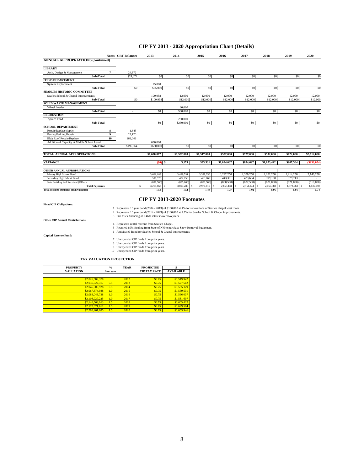## **CIP FY 2013 - 2020 Appropriation Chart (Details)**

|                                             |                  | <b>Notes CRF</b> Balances | 2013           | 2014             | 2015           | 2016        | 2017           | 2018           | 2019            | 2020            |
|---------------------------------------------|------------------|---------------------------|----------------|------------------|----------------|-------------|----------------|----------------|-----------------|-----------------|
| <b>ANNUAL APPROPRIATIONS (continued)</b>    |                  |                           |                |                  |                |             |                |                |                 |                 |
|                                             |                  |                           |                |                  |                |             |                |                |                 |                 |
| <b>LIBRARY</b>                              |                  |                           |                |                  |                |             |                |                |                 |                 |
| Arch. Design & Management                   | 7                | 24,872                    |                |                  |                |             |                |                |                 |                 |
| Sub-Total                                   |                  | \$24,872                  | S <sub>0</sub> | S <sub>0</sub>   | S <sub>0</sub> | \$0         | S <sub>0</sub> | \$0            | S <sub>0</sub>  | \$0             |
| <b>IT/GIS DEPARTMENT</b>                    |                  |                           |                |                  |                |             |                |                |                 |                 |
| <b>System Replacement</b>                   |                  |                           | 75,000         |                  |                |             |                |                |                 |                 |
| Sub-Total                                   |                  | S <sub>0</sub>            | \$75,000       | S <sub>0</sub>   | \$0            | \$0         | \$0            | \$0            | S <sub>0</sub>  | \$0             |
| <b>SEARLES HISTORIC COMMITTEE</b>           |                  |                           |                |                  |                |             |                |                |                 |                 |
| Searles School & Chapel Improvements        |                  |                           | 100,958        | 12,000           | 12,000         | 12,000      | 12,000         | 12,000         | 12,000          | 12,000          |
| Sub-Total                                   |                  | S <sub>0</sub>            | \$100,958      | \$12,000         | \$12,000       | \$12,000    | \$12,000       | \$12,000       | \$12,000        | \$12,000        |
| <b>SOLID WASTE MANAGEMENT</b>               |                  |                           |                |                  |                |             |                |                |                 |                 |
| Wheel Loader                                |                  |                           |                | 80,000           |                |             |                |                |                 |                 |
| Sub-Total                                   |                  | $\sim$                    | \$0            | \$80,000         | \$0            | \$0         | \$0            | \$0            | \$0             | \$0             |
| <b>RECREATION</b>                           |                  |                           |                |                  |                |             |                |                |                 |                 |
| Spruce Pond                                 |                  |                           |                | 250,000          |                |             |                |                |                 |                 |
| Sub-Total                                   |                  | $\sim$                    | \$0            | \$250,000        | \$0            | \$0         | \$0            | \$0            | \$0             | \$0             |
| <b>SCHOOL DEPARTMENT</b>                    |                  |                           |                |                  |                |             |                |                |                 |                 |
| Repair/Replace Septic                       | 8                | 1,645                     |                |                  |                |             |                |                |                 |                 |
| Paving/Parking Repair                       | $\boldsymbol{9}$ | 27,170                    |                |                  |                |             |                |                |                 |                 |
| <b>Bldg Roof Repair/Replace</b>             | 10               | 168,049                   |                |                  |                |             |                |                |                 |                 |
| Addition of Capacity at Middle School Level |                  |                           | 630,000        |                  |                |             |                |                |                 |                 |
| Sub-Total                                   |                  | \$196,864                 | \$630,000      | SO <sub>2</sub>  | S <sub>0</sub> | \$0         | S <sub>0</sub> | S <sub>0</sub> | S <sub>0</sub>  | S <sub>0</sub>  |
|                                             |                  |                           |                |                  |                |             |                |                |                 |                 |
| TOTAL ANNUAL APPROPRIATIONS                 |                  |                           | \$1,670,077    | \$1,532,000      | \$1,517,000    | \$532,000   | \$727,000      | \$532,000      | \$722,000       | \$2,612,000     |
|                                             |                  |                           |                |                  |                |             |                |                |                 |                 |
| <b>VARIANCE</b>                             |                  |                           | $(S0)$ \$      | 3,179            | \$33.531       | \$1,034,037 | \$854.697      | \$1,073,422    | \$907.504       | (\$958,054)     |
| OTHER ANNUAL APPROPRIATIONS                 |                  |                           |                |                  |                |             |                |                |                 |                 |
| Primary High School Bond                    |                  |                           | 3,601,188      | 3,499,531        | 3,388,250      | 3,292,250   | 2,350,250      | 2,282,250      | 2,214,250       | 2,146,250       |
| Secondary High School Bond                  |                  |                           | 501,975        | 482,756          | 463,069        | 443,381     | 423,694        | 399,138        | 379,713         |                 |
| State Building Aid Received (Offset)        |                  |                           | (886, 500)     | (885,000)        | (880, 500)     | (880, 500)  | (622, 500)     | (621,000)      | (621,000)       | (510,000)       |
| <b>Total Payments</b>                       |                  |                           | 3,216,663<br>s | 3,097,288<br>\$. | 2,970,819      | 2,855,131   | 2,151,444      | 2,060,388<br>S | 1,972,963<br>-S | 1,636,250<br>-8 |
| Total cost per thousand town valuation      |                  |                           | 1.58           | 1.51             | 1.44           | 1.37        | 1.02           | 0.96           | 0.91            | 0.74            |

#### **CIP FY 2013-2020 Footnotes**

**Fixed CIP Obligations:**

1 Represents 10 year bond (2004 - 2013) of \$100,000 at 4% for renovations of Searle's chapel west room.<br>2 Represents 10 year bond (2014 - 2023) of \$100,000 at 2.7% for Searles School & Chapel improvements.<br>3 Fire truck fin

**Other CIP Annual Contributions:**

4 Represents rental revenue from Searle's Chapel.<br>5 Required 80% funding from State of NH to purchase Snow Removal Equipment.<br>6 Anticipated Bond for Searles School & Chapel improvements.

**Capital Reserve Fund:**

7 Unexpended CIP funds from prior years. 8 Unexpended CIP funds from prior years. 9 Unexpended CIP funds from prior years. 10 Unexpended CIP funds from prior years.

 **TAX VALUATION PROJECTION**

| <b>PROPERTY</b>  | $\frac{0}{2}$   | <b>YEAR</b> | <b>PROJECTED</b>    |                  |
|------------------|-----------------|-------------|---------------------|------------------|
| <b>VALUATION</b> | <b>Increase</b> |             | <b>CIP TAX RATE</b> | <b>AVAILABLE</b> |
|                  |                 |             |                     |                  |
| \$2,026,589,370  |                 | 2012        | \$0.75              | \$1,519,942      |
| \$2,036,722,317  | 0.5             | 2013        | \$0.75              | \$1,527,542      |
| \$2,046,905,928  | 0.5             | 2014        | \$0.75              | \$1,535,179      |
| \$2,067,374,988  | 1.0             | 2015        | \$0.75              | \$1,550,531      |
| \$2,088,048,738  | 1.0             | 2016        | \$0.75              | \$1,566,037      |
| \$2,108,929,225  | 1.0             | 2017        | \$0.75              | \$1,581,697      |
| \$2,140,563,163  | 1.5             | 2018        | \$0.75              | \$1,605,422      |
| \$2,172,671,611  | 1.5             | 2019        | \$0.75              | \$1,629,504      |
| \$2,205,261,685  | 1.5             | 2020        | \$0.75              | \$1,653,946      |

8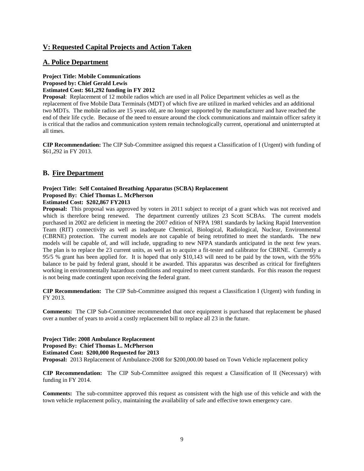# **V: Requested Capital Projects and Action Taken**

## **A. Police Department**

# **Project Title: Mobile Communications Proposed by: Chief Gerald Lewis**

**Estimated Cost: \$61,292 funding in FY 2012**

**Proposal**: Replacement of 12 mobile radios which are used in all Police Department vehicles as well as the replacement of five Mobile Data Terminals (MDT) of which five are utilized in marked vehicles and an additional two MDTs. The mobile radios are 15 years old, are no longer supported by the manufacturer and have reached the end of their life cycle. Because of the need to ensure around the clock communications and maintain officer safety it is critical that the radios and communication system remain technologically current, operational and uninterrupted at all times.

**CIP Recommendation:** The CIP Sub-Committee assigned this request a Classification of I (Urgent) with funding of \$61,292 in FY 2013.

# **B. Fire Department**

#### **Project Title: Self Contained Breathing Apparatus (SCBA) Replacement Proposed By: Chief Thomas L. McPherson Estimated Cost: \$202,867 FY2013**

**Proposal:** This proposal was approved by voters in 2011 subject to receipt of a grant which was not received and which is therefore being renewed. The department currently utilizes 23 Scott SCBAs. The current models purchased in 2002 are deficient in meeting the 2007 edition of NFPA 1981 standards by lacking Rapid Intervention Team (RIT) connectivity as well as inadequate Chemical, Biological, Radiological, Nuclear, Environmental (CBRNE) protection. The current models are not capable of being retrofitted to meet the standards. The new models will be capable of, and will include, upgrading to new NFPA standards anticipated in the next few years. The plan is to replace the 23 current units, as well as to acquire a fit-tester and calibrator for CBRNE. Currently a 95/5 % grant has been applied for. It is hoped that only \$10,143 will need to be paid by the town, with the 95% balance to be paid by federal grant, should it be awarded. This apparatus was described as critical for firefighters working in environmentally hazardous conditions and required to meet current standards. For this reason the request is not being made contingent upon receiving the federal grant.

**CIP Recommendation:** The CIP Sub-Committee assigned this request a Classification I (Urgent) with funding in FY 2013.

**Comments:** The CIP Sub-Committee recommended that once equipment is purchased that replacement be phased over a number of years to avoid a costly replacement bill to replace all 23 in the future.

# **Project Title: 2008 Ambulance Replacement Proposed By: Chief Thomas L. McPherson**

**Estimated Cost: \$200,000 Requested for 2013**

**Proposal:** 2013 Replacement of Ambulance-2008 for \$200,000.00 based on Town Vehicle replacement policy

**CIP Recommendation:** The CIP Sub-Committee assigned this request a Classification of II (Necessary) with funding in FY 2014.

**Comments:** The sub-committee approved this request as consistent with the high use of this vehicle and with the town vehicle replacement policy, maintaining the availability of safe and effective town emergency care.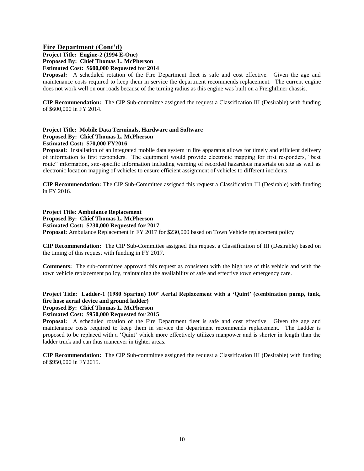## **Fire Department (Cont'd)**

**Project Title: Engine-2 (1994 E-One) Proposed By: Chief Thomas L. McPherson Estimated Cost: \$600,000 Requested for 2014**

**Proposal:** A scheduled rotation of the Fire Department fleet is safe and cost effective. Given the age and maintenance costs required to keep them in service the department recommends replacement. The current engine does not work well on our roads because of the turning radius as this engine was built on a Freightliner chassis.

**CIP Recommendation:** The CIP Sub-committee assigned the request a Classification III (Desirable) with funding of \$600,000 in FY 2014.

#### **Project Title: Mobile Data Terminals, Hardware and Software Proposed By: Chief Thomas L. McPherson Estimated Cost: \$70,000 FY2016**

**Proposal:** Installation of an integrated mobile data system in fire apparatus allows for timely and efficient delivery of information to first responders. The equipment would provide electronic mapping for first responders, "best route" information, site-specific information including warning of recorded hazardous materials on site as well as electronic location mapping of vehicles to ensure efficient assignment of vehicles to different incidents.

**CIP Recommendation:** The CIP Sub-Committee assigned this request a Classification III (Desirable) with funding in FY 2016.

## **Project Title: Ambulance Replacement**

#### **Proposed By: Chief Thomas L. McPherson Estimated Cost: \$230,000 Requested for 2017**

**Proposal:** Ambulance Replacement in FY 2017 for \$230,000 based on Town Vehicle replacement policy

**CIP Recommendation:** The CIP Sub-Committee assigned this request a Classification of III (Desirable) based on the timing of this request with funding in FY 2017.

**Comments:** The sub-committee approved this request as consistent with the high use of this vehicle and with the town vehicle replacement policy, maintaining the availability of safe and effective town emergency care.

## **Project Title: Ladder-1 (1980 Spartan) 100' Aerial Replacement with a 'Quint' (combination pump, tank, fire hose aerial device and ground ladder)**

#### **Proposed By: Chief Thomas L. McPherson**

#### **Estimated Cost: \$950,000 Requested for 2015**

**Proposal:** A scheduled rotation of the Fire Department fleet is safe and cost effective. Given the age and maintenance costs required to keep them in service the department recommends replacement. The Ladder is proposed to be replaced with a 'Quint' which more effectively utilizes manpower and is shorter in length than the ladder truck and can thus maneuver in tighter areas.

**CIP Recommendation:** The CIP Sub-committee assigned the request a Classification III (Desirable) with funding of \$950,000 in FY2015.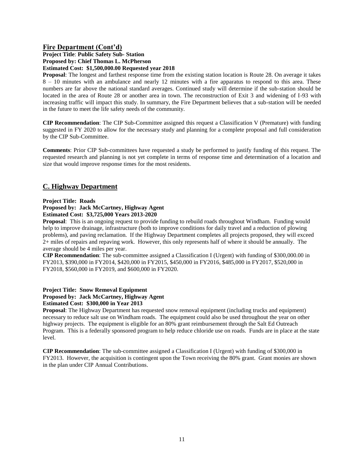#### **Fire Department (Cont'd) Project Title**: **Public Safety Sub- Station**

**Proposed by: Chief Thomas L. McPherson**

**Estimated Cost: \$1,500,000.00 Requested year 2018**

**Proposal**: The longest and farthest response time from the existing station location is Route 28. On average it takes 8 – 10 minutes with an ambulance and nearly 12 minutes with a fire apparatus to respond to this area. These numbers are far above the national standard averages. Continued study will determine if the sub-station should be located in the area of Route 28 or another area in town. The reconstruction of Exit 3 and widening of I-93 with increasing traffic will impact this study. In summary, the Fire Department believes that a sub-station will be needed in the future to meet the life safety needs of the community.

**CIP Recommendation**: The CIP Sub-Committee assigned this request a Classification V (Premature) with funding suggested in FY 2020 to allow for the necessary study and planning for a complete proposal and full consideration by the CIP Sub-Committee.

**Comments**: Prior CIP Sub-committees have requested a study be performed to justify funding of this request. The requested research and planning is not yet complete in terms of response time and determination of a location and size that would improve response times for the most residents.

# **C. Highway Department**

#### **Project Title: Roads**

# **Proposed by: Jack McCartney, Highway Agent**

**Estimated Cost: \$3,725,000 Years 2013-2020**

**Proposal**: This is an ongoing request to provide funding to rebuild roads throughout Windham. Funding would help to improve drainage, infrastructure (both to improve conditions for daily travel and a reduction of plowing problems), and paving reclamation. If the Highway Department completes all projects proposed, they will exceed 2+ miles of repairs and repaving work. However, this only represents half of where it should be annually. The average should be 4 miles per year.

**CIP Recommendation**: The sub-committee assigned a Classification I (Urgent) with funding of \$300,000.00 in FY2013, \$390,000 in FY2014, \$420,000 in FY2015, \$450,000 in FY2016, \$485,000 in FY2017, \$520,000 in FY2018, \$560,000 in FY2019, and \$600,000 in FY2020.

#### **Project Title: Snow Removal Equipment Proposed by: Jack McCartney, Highway Agent Estimated Cost: \$300,000 in Year 2013**

**Proposal**: The Highway Department has requested snow removal equipment (including trucks and equipment) necessary to reduce salt use on Windham roads. The equipment could also be used throughout the year on other highway projects. The equipment is eligible for an 80% grant reimbursement through the Salt Ed Outreach Program. This is a federally sponsored program to help reduce chloride use on roads. Funds are in place at the state level.

**CIP Recommendation**: The sub-committee assigned a Classification I (Urgent) with funding of \$300,000 in FY2013. However, the acquisition is contingent upon the Town receiving the 80% grant. Grant monies are shown in the plan under CIP Annual Contributions.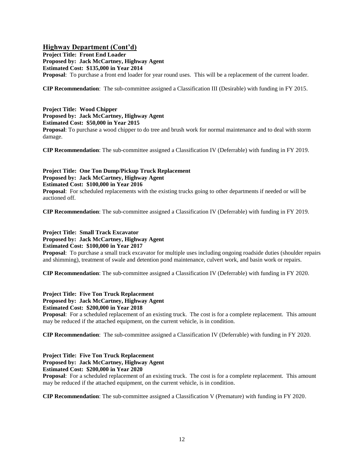## **Highway Department (Cont'd)**

**Project Title: Front End Loader Proposed by: Jack McCartney, Highway Agent Estimated Cost: \$135,000 in Year 2014 Proposal**: To purchase a front end loader for year round uses. This will be a replacement of the current loader.

**CIP Recommendation**: The sub-committee assigned a Classification III (Desirable) with funding in FY 2015.

**Project Title: Wood Chipper Proposed by: Jack McCartney, Highway Agent Estimated Cost: \$50,000 in Year 2015 Proposal**: To purchase a wood chipper to do tree and brush work for normal maintenance and to deal with storm damage.

**CIP Recommendation**: The sub-committee assigned a Classification IV (Deferrable) with funding in FY 2019.

**Project Title: One Ton Dump/Pickup Truck Replacement Proposed by: Jack McCartney, Highway Agent Estimated Cost: \$100,000 in Year 2016 Proposal:** For scheduled replacements with the existing trucks going to other departments if needed or will be auctioned off.

**CIP Recommendation**: The sub-committee assigned a Classification IV (Deferrable) with funding in FY 2019.

**Project Title: Small Track Excavator Proposed by: Jack McCartney, Highway Agent Estimated Cost: \$100,000 in Year 2017**

**Proposal**: To purchase a small track excavator for multiple uses including ongoing roadside duties (shoulder repairs and shimming), treatment of swale and detention pond maintenance, culvert work, and basin work or repairs.

**CIP Recommendation**: The sub-committee assigned a Classification IV (Deferrable) with funding in FY 2020.

**Project Title: Five Ton Truck Replacement Proposed by: Jack McCartney, Highway Agent Estimated Cost: \$200,000 in Year 2018**

**Proposal**: For a scheduled replacement of an existing truck. The cost is for a complete replacement. This amount may be reduced if the attached equipment, on the current vehicle, is in condition.

**CIP Recommendation**: The sub-committee assigned a Classification IV (Deferrable) with funding in FY 2020.

**Project Title: Five Ton Truck Replacement Proposed by: Jack McCartney, Highway Agent**

**Estimated Cost: \$200,000 in Year 2020**

**Proposal**: For a scheduled replacement of an existing truck. The cost is for a complete replacement. This amount may be reduced if the attached equipment, on the current vehicle, is in condition.

**CIP Recommendation**: The sub-committee assigned a Classification V (Premature) with funding in FY 2020.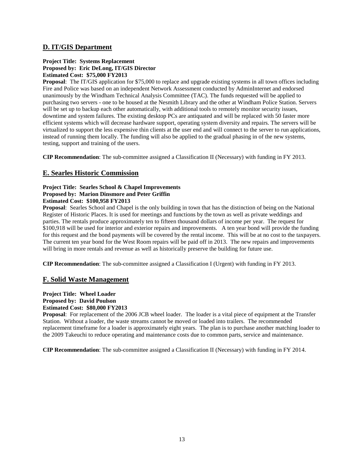# **D. IT/GIS Department**

#### **Project Title: Systems Replacement Proposed by: Eric DeLong, IT/GIS Director Estimated Cost: \$75,000 FY2013**

**Proposal**: The IT/GIS application for \$75,000 to replace and upgrade existing systems in all town offices including Fire and Police was based on an independent Network Assessment conducted by AdminInternet and endorsed unanimously by the Windham Technical Analysis Committee (TAC). The funds requested will be applied to purchasing two servers - one to be housed at the Nesmith Library and the other at Windham Police Station. Servers will be set up to backup each other automatically, with additional tools to remotely monitor security issues, downtime and system failures. The existing desktop PCs are antiquated and will be replaced with 50 faster more efficient systems which will decrease hardware support, operating system diversity and repairs. The servers will be virtualized to support the less expensive thin clients at the user end and will connect to the server to run applications, instead of running them locally. The funding will also be applied to the gradual phasing in of the new systems, testing, support and training of the users.

**CIP Recommendation**: The sub-committee assigned a Classification II (Necessary) with funding in FY 2013.

# **E. Searles Historic Commission**

#### **Project Title: Searles School & Chapel Improvements Proposed by: Marion Dinsmore and Peter Griffin Estimated Cost: \$100,958 FY2013**

**Proposal**: Searles School and Chapel is the only building in town that has the distinction of being on the National Register of Historic Places. It is used for meetings and functions by the town as well as private weddings and parties. The rentals produce approximately ten to fifteen thousand dollars of income per year. The request for \$100,918 will be used for interior and exterior repairs and improvements. A ten year bond will provide the funding for this request and the bond payments will be covered by the rental income. This will be at no cost to the taxpayers. The current ten year bond for the West Room repairs will be paid off in 2013. The new repairs and improvements will bring in more rentals and revenue as well as historically preserve the building for future use.

**CIP Recommendation**: The sub-committee assigned a Classification I (Urgent) with funding in FY 2013.

# **F. Solid Waste Management**

## **Project Title: Wheel Loader Proposed by: David Poulson Estimated Cost: \$80,000 FY2013**

**Proposal**: For replacement of the 2006 JCB wheel loader. The loader is a vital piece of equipment at the Transfer Station. Without a loader, the waste streams cannot be moved or loaded into trailers. The recommended replacement timeframe for a loader is approximately eight years. The plan is to purchase another matching loader to the 2009 Takeuchi to reduce operating and maintenance costs due to common parts, service and maintenance.

**CIP Recommendation**: The sub-committee assigned a Classification II (Necessary) with funding in FY 2014.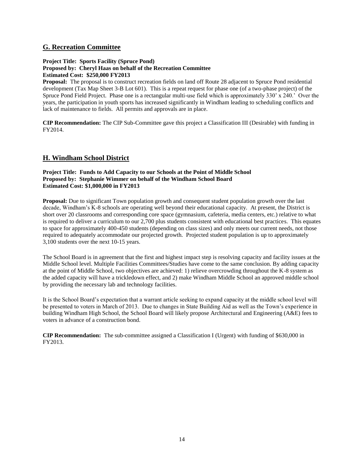# **G. Recreation Committee**

#### **Project Title: Sports Facility (Spruce Pond) Proposed by: Cheryl Haas on behalf of the Recreation Committee Estimated Cost: \$250,000 FY2013**

**Proposal:** The proposal is to construct recreation fields on land off Route 28 adjacent to Spruce Pond residential development (Tax Map Sheet 3-B Lot 601). This is a repeat request for phase one (of a two-phase project) of the Spruce Pond Field Project. Phase one is a rectangular multi-use field which is approximately 330' x 240.' Over the years, the participation in youth sports has increased significantly in Windham leading to scheduling conflicts and lack of maintenance to fields. All permits and approvals are in place.

**CIP Recommendation:** The CIP Sub-Committee gave this project a Classification III (Desirable) with funding in FY2014.

# **H. Windham School District**

#### **Project Title: Funds to Add Capacity to our Schools at the Point of Middle School Proposed by: Stephanie Wimmer on behalf of the Windham School Board Estimated Cost: \$1,000,000 in FY2013**

**Proposal:** Due to significant Town population growth and consequent student population growth over the last decade, Windham's K-8 schools are operating well beyond their educational capacity. At present, the District is short over 20 classrooms and corresponding core space (gymnasium, cafeteria, media centers, etc.) relative to what is required to deliver a curriculum to our 2,700 plus students consistent with educational best practices. This equates to space for approximately 400-450 students (depending on class sizes) and only meets our current needs, not those required to adequately accommodate our projected growth. Projected student population is up to approximately 3,100 students over the next 10-15 years.

The School Board is in agreement that the first and highest impact step is resolving capacity and facility issues at the Middle School level. Multiple Facilities Committees/Studies have come to the same conclusion. By adding capacity at the point of Middle School, two objectives are achieved: 1) relieve overcrowding throughout the K-8 system as the added capacity will have a trickledown effect, and 2) make Windham Middle School an approved middle school by providing the necessary lab and technology facilities.

It is the School Board's expectation that a warrant article seeking to expand capacity at the middle school level will be presented to voters in March of 2013. Due to changes in State Building Aid as well as the Town's experience in building Windham High School, the School Board will likely propose Architectural and Engineering (A&E) fees to voters in advance of a construction bond.

**CIP Recommendation:** The sub-committee assigned a Classification I (Urgent) with funding of \$630,000 in FY2013.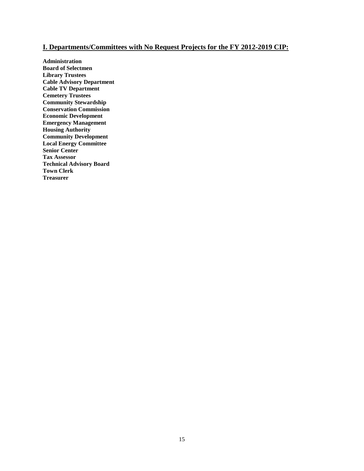# **I. Departments/Committees with No Request Projects for the FY 2012-2019 CIP:**

**Administration Board of Selectmen Library Trustees Cable Advisory Department Cable TV Department Cemetery Trustees Community Stewardship Conservation Commission Economic Development Emergency Management Housing Authority Community Development Local Energy Committee Senior Center Tax Assessor Technical Advisory Board Town Clerk Treasurer**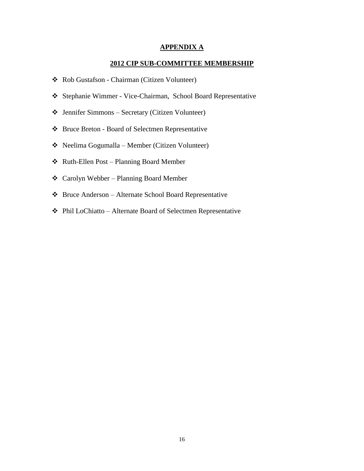## **APPENDIX A**

# **2012 CIP SUB-COMMITTEE MEMBERSHIP**

- Rob Gustafson Chairman (Citizen Volunteer)
- Stephanie Wimmer Vice-Chairman, School Board Representative
- Jennifer Simmons Secretary (Citizen Volunteer)
- Bruce Breton Board of Selectmen Representative
- Neelima Gogumalla Member (Citizen Volunteer)
- Ruth-Ellen Post Planning Board Member
- Carolyn Webber Planning Board Member
- Bruce Anderson Alternate School Board Representative
- Phil LoChiatto Alternate Board of Selectmen Representative